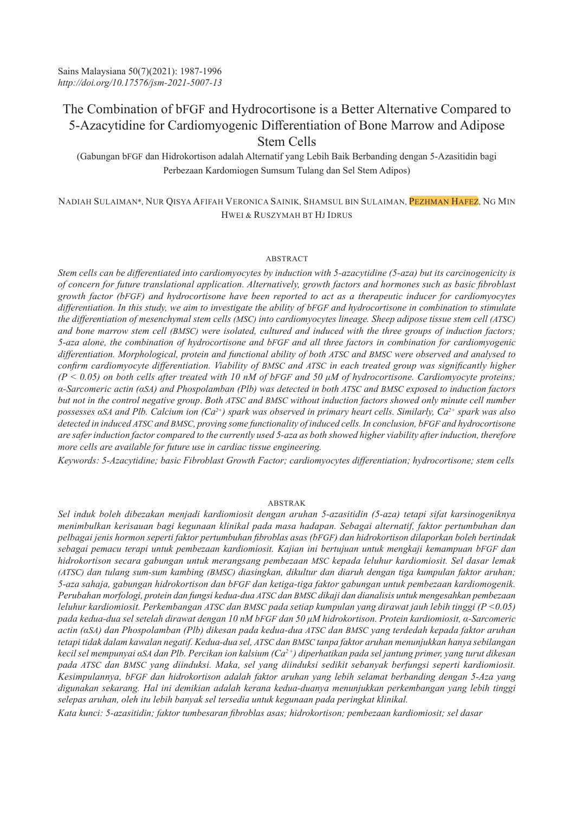# The Combination of bFGF and Hydrocortisone is a Better Alternative Compared to 5-Azacytidine for Cardiomyogenic Differentiation of Bone Marrow and Adipose Stem Cells

(Gabungan bFGF dan Hidrokortison adalah Alternatif yang Lebih Baik Berbanding dengan 5-Azasitidin bagi Perbezaan Kardomiogen Sumsum Tulang dan Sel Stem Adipos)

NADIAH SULAIMAN\*, NUR QISYA AFIFAH VERONICA SAINIK, SHAMSUL BIN SULAIMAN, PEZHMAN HAFEZ, NG MIN HWEI & RUSZYMAH BT HJ IDRUS

# ABSTRACT

*Stem cells can be differentiated into cardiomyocytes by induction with 5-azacytidine (5-aza) but its carcinogenicity is of concern for future translational application. Alternatively, growth factors and hormones such as basic fibroblast growth factor (bFGF) and hydrocortisone have been reported to act as a therapeutic inducer for cardiomyocytes differentiation. In this study, we aim to investigate the ability of bFGF and hydrocortisone in combination to stimulate the differentiation of mesenchymal stem cells (MSC) into cardiomyocytes lineage. Sheep adipose tissue stem cell (ATSC)* and bone marrow stem cell (BMSC) were isolated, cultured and induced with the three groups of induction factors; *5-aza alone, the combination of hydrocortisone and bFGF and all three factors in combination for cardiomyogenic differentiation. Morphological, protein and functional ability of both ATSC and BMSC were observed and analysed to confirm cardiomyocyte differentiation. Viability of BMSC and ATSC in each treated group was significantly higher (P < 0.05) on both cells after treated with 10 nM of bFGF and 50 μM of hydrocortisone. Cardiomyocyte proteins; α-Sarcomeric actin (αSA) and Phospolamban (Plb) was detected in both ATSC and BMSC exposed to induction factors but not in the control negative group*. *Both ATSC and BMSC without induction factors showed only minute cell number possesses αSA and Plb. Calcium ion (Ca2+) spark was observed in primary heart cells. Similarly, Ca2+ spark was also detected in induced ATSC and BMSC, proving some functionality of induced cells. In conclusion, bFGF and hydrocortisone are safer induction factor compared to the currently used 5-aza as both showed higher viability after induction, therefore more cells are available for future use in cardiac tissue engineering.* 

*Keywords: 5-Azacytidine; basic Fibroblast Growth Factor; cardiomyocytes differentiation; hydrocortisone; stem cells*

# ABSTRAK

*Sel induk boleh dibezakan menjadi kardiomiosit dengan aruhan 5-azasitidin (5-aza) tetapi sifat karsinogeniknya menimbulkan kerisauan bagi kegunaan klinikal pada masa hadapan. Sebagai alternatif, faktor pertumbuhan dan pelbagai jenis hormon seperti faktor pertumbuhan fibroblas asas (bFGF) dan hidrokortison dilaporkan boleh bertindak sebagai pemacu terapi untuk pembezaan kardiomiosit. Kajian ini bertujuan untuk mengkaji kemampuan bFGF dan hidrokortison secara gabungan untuk merangsang pembezaan MSC kepada leluhur kardiomiosit. Sel dasar lemak (ATSC) dan tulang sum-sum kambing (BMSC) diasingkan, dikultur dan diaruh dengan tiga kumpulan faktor aruhan; 5-aza sahaja, gabungan hidrokortison dan bFGF dan ketiga-tiga faktor gabungan untuk pembezaan kardiomogenik. Perubahan morfologi, protein dan fungsi kedua-dua ATSC dan BMSC dikaji dan dianalisis untuk mengesahkan pembezaan leluhur kardiomiosit. Perkembangan ATSC dan BMSC pada setiap kumpulan yang dirawat jauh lebih tinggi (P <0.05) pada kedua-dua sel setelah dirawat dengan 10 nM bFGF dan 50 μM hidrokortison. Protein kardiomiosit, α-Sarcomeric actin (αSA) dan Phospolamban (Plb) dikesan pada kedua-dua ATSC dan BMSC yang terdedah kepada faktor aruhan tetapi tidak dalam kawalan negatif. Kedua-dua sel, ATSC dan BMSC tanpa faktor aruhan menunjukkan hanya sebilangan kecil sel mempunyai αSA dan Plb. Percikan ion kalsium (Ca2 +) diperhatikan pada sel jantung primer, yang turut dikesan pada ATSC dan BMSC yang diinduksi. Maka, sel yang diinduksi sedikit sebanyak berfungsi seperti kardiomiosit. Kesimpulannya, bFGF dan hidrokortison adalah faktor aruhan yang lebih selamat berbanding dengan 5-Aza yang digunakan sekarang. Hal ini demikian adalah kerana kedua-duanya menunjukkan perkembangan yang lebih tinggi selepas aruhan, oleh itu lebih banyak sel tersedia untuk kegunaan pada peringkat klinikal.* 

*Kata kunci: 5-azasitidin; faktor tumbesaran fibroblas asas; hidrokortison; pembezaan kardiomiosit; sel dasar*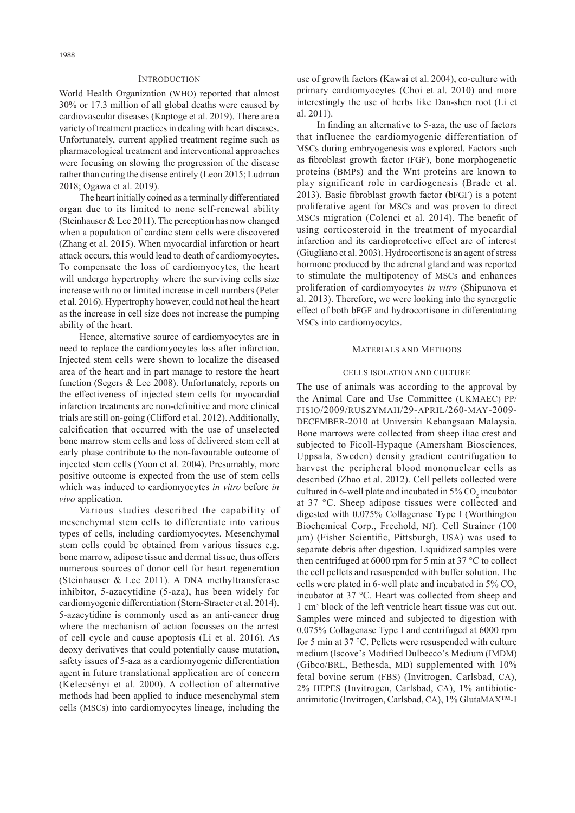# **INTRODUCTION**

World Health Organization (WHO) reported that almost 30% or 17.3 million of all global deaths were caused by cardiovascular diseases (Kaptoge et al. 2019). There are a variety of treatment practices in dealing with heart diseases. Unfortunately, current applied treatment regime such as pharmacological treatment and interventional approaches were focusing on slowing the progression of the disease rather than curing the disease entirely (Leon 2015; Ludman 2018; Ogawa et al. 2019).

The heart initially coined as a terminally differentiated organ due to its limited to none self-renewal ability (Steinhauser & Lee 2011). The perception has now changed when a population of cardiac stem cells were discovered (Zhang et al. 2015). When myocardial infarction or heart attack occurs, this would lead to death of cardiomyocytes. To compensate the loss of cardiomyocytes, the heart will undergo hypertrophy where the surviving cells size increase with no or limited increase in cell numbers (Peter et al. 2016). Hypertrophy however, could not heal the heart as the increase in cell size does not increase the pumping ability of the heart.

Hence, alternative source of cardiomyocytes are in need to replace the cardiomyocytes loss after infarction. Injected stem cells were shown to localize the diseased area of the heart and in part manage to restore the heart function (Segers & Lee 2008). Unfortunately, reports on the effectiveness of injected stem cells for myocardial infarction treatments are non-definitive and more clinical trials are still on-going (Clifford et al. 2012). Additionally, calcification that occurred with the use of unselected bone marrow stem cells and loss of delivered stem cell at early phase contribute to the non-favourable outcome of injected stem cells (Yoon et al. 2004). Presumably, more positive outcome is expected from the use of stem cells which was induced to cardiomyocytes *in vitro* before *in vivo* application.

Various studies described the capability of mesenchymal stem cells to differentiate into various types of cells, including cardiomyocytes. Mesenchymal stem cells could be obtained from various tissues e.g. bone marrow, adipose tissue and dermal tissue, thus offers numerous sources of donor cell for heart regeneration (Steinhauser & Lee 2011). A DNA methyltransferase inhibitor, 5-azacytidine (5-aza), has been widely for cardiomyogenic differentiation (Stern-Straeter et al. 2014). 5-azacytidine is commonly used as an anti-cancer drug where the mechanism of action focusses on the arrest of cell cycle and cause apoptosis (Li et al. 2016). As deoxy derivatives that could potentially cause mutation, safety issues of 5-aza as a cardiomyogenic differentiation agent in future translational application are of concern (Kelecsényi et al. 2000). A collection of alternative methods had been applied to induce mesenchymal stem cells (MSCs) into cardiomyocytes lineage, including the

use of growth factors (Kawai et al. 2004), co-culture with primary cardiomyocytes (Choi et al. 2010) and more interestingly the use of herbs like Dan-shen root (Li et al. 2011).

In finding an alternative to 5-aza, the use of factors that influence the cardiomyogenic differentiation of MSCs during embryogenesis was explored. Factors such as fibroblast growth factor (FGF), bone morphogenetic proteins (BMPs) and the Wnt proteins are known to play significant role in cardiogenesis (Brade et al. 2013). Basic fibroblast growth factor (bFGF) is a potent proliferative agent for MSCs and was proven to direct MSCs migration (Colenci et al. 2014). The benefit of using corticosteroid in the treatment of myocardial infarction and its cardioprotective effect are of interest (Giugliano et al. 2003). Hydrocortisone is an agent of stress hormone produced by the adrenal gland and was reported to stimulate the multipotency of MSCs and enhances proliferation of cardiomyocytes *in vitro* (Shipunova et al. 2013). Therefore, we were looking into the synergetic effect of both bFGF and hydrocortisone in differentiating MSCs into cardiomyocytes.

# MATERIALS AND METHODS

#### CELLS ISOLATION AND CULTURE

The use of animals was according to the approval by the Animal Care and Use Committee (UKMAEC) PP/ FISIO/2009/RUSZYMAH/29-APRIL/260-MAY-2009- DECEMBER-2010 at Universiti Kebangsaan Malaysia. Bone marrows were collected from sheep iliac crest and subjected to Ficoll-Hypaque (Amersham Biosciences, Uppsala, Sweden) density gradient centrifugation to harvest the peripheral blood mononuclear cells as described (Zhao et al. 2012). Cell pellets collected were cultured in 6-well plate and incubated in  $5\%$  CO<sub>2</sub> incubator at 37 °C. Sheep adipose tissues were collected and digested with 0.075% Collagenase Type I (Worthington Biochemical Corp., Freehold, NJ). Cell Strainer (100 µm) (Fisher Scientific, Pittsburgh, USA) was used to separate debris after digestion. Liquidized samples were then centrifuged at 6000 rpm for 5 min at 37  $\degree$ C to collect the cell pellets and resuspended with buffer solution. The cells were plated in 6-well plate and incubated in  $5\%$  CO<sub>2</sub> incubator at 37 °C. Heart was collected from sheep and 1 cm3 block of the left ventricle heart tissue was cut out. Samples were minced and subjected to digestion with 0.075% Collagenase Type I and centrifuged at 6000 rpm for 5 min at 37 °C. Pellets were resuspended with culture medium (Iscove's Modified Dulbecco's Medium (IMDM) (Gibco/BRL, Bethesda, MD) supplemented with 10% fetal bovine serum (FBS) (Invitrogen, Carlsbad, CA), 2% HEPES (Invitrogen, Carlsbad, CA), 1% antibioticantimitotic (Invitrogen, Carlsbad, CA), 1% GlutaMAX™-I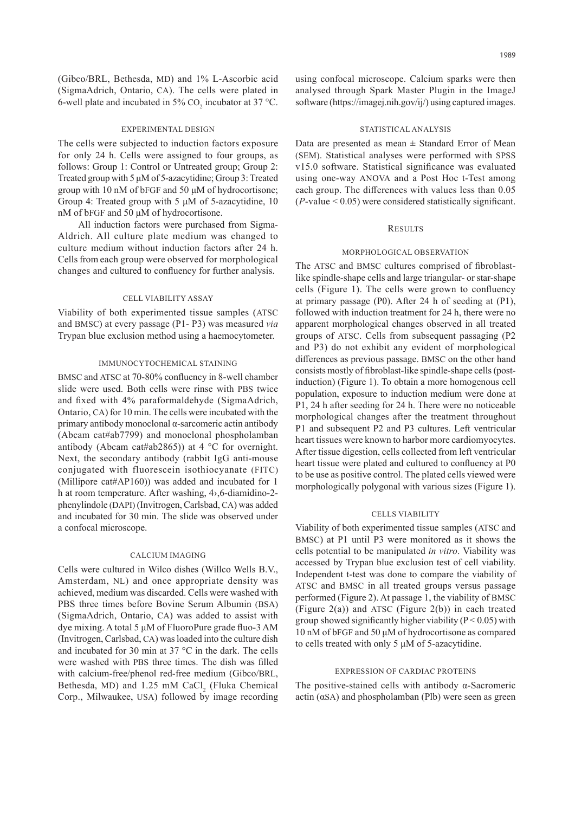(Gibco/BRL, Bethesda, MD) and 1% L-Ascorbic acid (SigmaAdrich, Ontario, CA). The cells were plated in 6-well plate and incubated in 5%  $CO_2$  incubator at 37 °C.

#### EXPERIMENTAL DESIGN

The cells were subjected to induction factors exposure for only 24 h. Cells were assigned to four groups, as follows: Group 1: Control or Untreated group; Group 2: Treated group with 5 μM of 5-azacytidine; Group 3: Treated group with 10 nM of bFGF and 50 μM of hydrocortisone; Group 4: Treated group with 5 μM of 5-azacytidine, 10 nM of bFGF and 50 μM of hydrocortisone.

All induction factors were purchased from Sigma-Aldrich. All culture plate medium was changed to culture medium without induction factors after 24 h. Cells from each group were observed for morphological changes and cultured to confluency for further analysis.

# CELL VIABILITY ASSAY

Viability of both experimented tissue samples (ATSC and BMSC) at every passage (P1- P3) was measured *via* Trypan blue exclusion method using a haemocytometer.

# IMMUNOCYTOCHEMICAL STAINING

BMSC and ATSC at 70-80% confluency in 8-well chamber slide were used. Both cells were rinse with PBS twice and fixed with 4% paraformaldehyde (SigmaAdrich, Ontario, CA) for 10 min. The cells were incubated with the primary antibody monoclonal α-sarcomeric actin antibody (Abcam cat#ab7799) and monoclonal phospholamban antibody (Abcam cat#ab2865)) at 4 °C for overnight. Next, the secondary antibody (rabbit IgG anti-mouse conjugated with fluorescein isothiocyanate (FITC) (Millipore cat#AP160)) was added and incubated for 1 h at room temperature. After washing, 4›,6-diamidino-2 phenylindole (DAPI) (Invitrogen, Carlsbad, CA) was added and incubated for 30 min. The slide was observed under a confocal microscope.

# CALCIUM IMAGING

Cells were cultured in Wilco dishes (Willco Wells B.V., Amsterdam, NL) and once appropriate density was achieved, medium was discarded. Cells were washed with PBS three times before Bovine Serum Albumin (BSA) (SigmaAdrich, Ontario, CA) was added to assist with dye mixing. A total 5 μM of FluoroPure grade fluo-3 AM (Invitrogen, Carlsbad, CA) was loaded into the culture dish and incubated for 30 min at 37 °C in the dark. The cells were washed with PBS three times. The dish was filled with calcium-free/phenol red-free medium (Gibco/BRL, Bethesda, MD) and  $1.25 \text{ mM }$  CaCl<sub>2</sub> (Fluka Chemical Corp., Milwaukee, USA) followed by image recording

using confocal microscope. Calcium sparks were then analysed through Spark Master Plugin in the ImageJ software (https://imagej.nih.gov/ij/) using captured images.

#### STATISTICAL ANALYSIS

Data are presented as mean  $\pm$  Standard Error of Mean (SEM). Statistical analyses were performed with SPSS v15.0 software. Statistical significance was evaluated using one-way ANOVA and a Post Hoc t-Test among each group. The differences with values less than 0.05 (*P*-value < 0.05) were considered statistically significant.

# **RESULTS**

# MORPHOLOGICAL OBSERVATION

The ATSC and BMSC cultures comprised of fibroblastlike spindle-shape cells and large triangular- or star-shape cells (Figure 1). The cells were grown to confluency at primary passage (P0). After 24 h of seeding at (P1), followed with induction treatment for 24 h, there were no apparent morphological changes observed in all treated groups of ATSC. Cells from subsequent passaging (P2 and P3) do not exhibit any evident of morphological differences as previous passage. BMSC on the other hand consists mostly of fibroblast-like spindle-shape cells (postinduction) (Figure 1). To obtain a more homogenous cell population, exposure to induction medium were done at P1, 24 h after seeding for 24 h. There were no noticeable morphological changes after the treatment throughout P1 and subsequent P2 and P3 cultures. Left ventricular heart tissues were known to harbor more cardiomyocytes. After tissue digestion, cells collected from left ventricular heart tissue were plated and cultured to confluency at P0 to be use as positive control. The plated cells viewed were morphologically polygonal with various sizes (Figure 1).

#### CELLS VIABILITY

Viability of both experimented tissue samples (ATSC and BMSC) at P1 until P3 were monitored as it shows the cells potential to be manipulated *in vitro*. Viability was accessed by Trypan blue exclusion test of cell viability. Independent t-test was done to compare the viability of ATSC and BMSC in all treated groups versus passage performed (Figure 2). At passage 1, the viability of BMSC (Figure  $2(a)$ ) and ATSC (Figure  $2(b)$ ) in each treated group showed significantly higher viability ( $P < 0.05$ ) with 10 nM of bFGF and 50 μM of hydrocortisone as compared to cells treated with only 5 μM of 5-azacytidine.

# EXPRESSION OF CARDIAC PROTEINS

The positive-stained cells with antibody  $\alpha$ -Sacromeric actin  $(\alpha SA)$  and phospholamban (Plb) were seen as green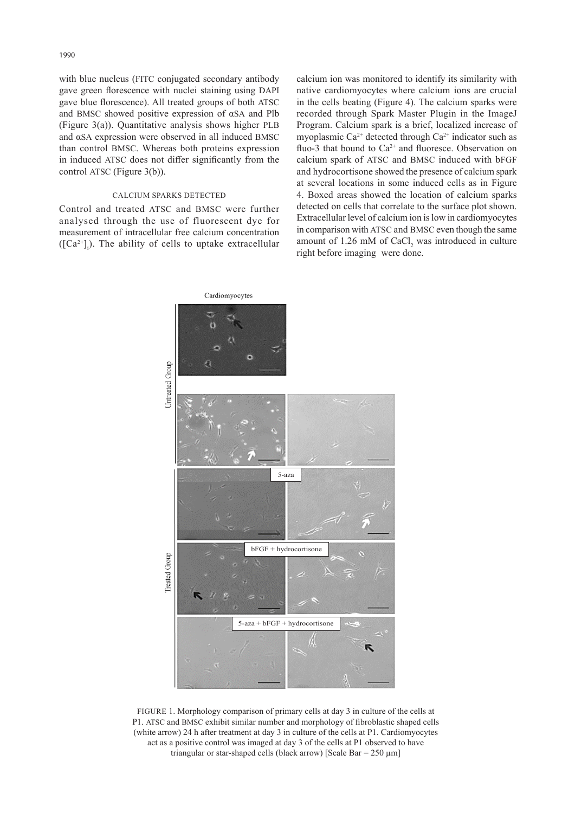with blue nucleus (FITC conjugated secondary antibody gave green florescence with nuclei staining using DAPI gave blue florescence). All treated groups of both ATSC and BMSC showed positive expression of αSA and Plb (Figure 3(a)). Quantitative analysis shows higher PLB and αSA expression were observed in all induced BMSC than control BMSC. Whereas both proteins expression in induced ATSC does not differ significantly from the control ATSC (Figure 3(b)).

# CALCIUM SPARKS DETECTED

Control and treated ATSC and BMSC were further analysed through the use of fluorescent dye for measurement of intracellular free calcium concentration  $([Ca<sup>2+</sup>]$ . The ability of cells to uptake extracellular calcium ion was monitored to identify its similarity with native cardiomyocytes where calcium ions are crucial in the cells beating (Figure 4). The calcium sparks were recorded through Spark Master Plugin in the ImageJ Program. Calcium spark is a brief, localized increase of myoplasmic Ca<sup>2+</sup> detected through Ca<sup>2+</sup> indicator such as fluo-3 that bound to  $Ca^{2+}$  and fluoresce. Observation on calcium spark of ATSC and BMSC induced with bFGF and hydrocortisone showed the presence of calcium spark at several locations in some induced cells as in Figure 4. Boxed areas showed the location of calcium sparks detected on cells that correlate to the surface plot shown. Extracellular level of calcium ion is low in cardiomyocytes in comparison with ATSC and BMSC even though the same amount of  $1.26 \text{ mM of } CaCl<sub>2</sub>$  was introduced in culture right before imaging were done.



FIGURE 1. Morphology comparison of primary cells at day 3 in culture of the cells at P1. ATSC and BMSC exhibit similar number and morphology of fibroblastic shaped cells (white arrow) 24 h after treatment at day 3 in culture of the cells at P1. Cardiomyocytes act as a positive control was imaged at day 3 of the cells at P1 observed to have triangular or star-shaped cells (black arrow) [Scale Bar =  $250 \mu m$ ]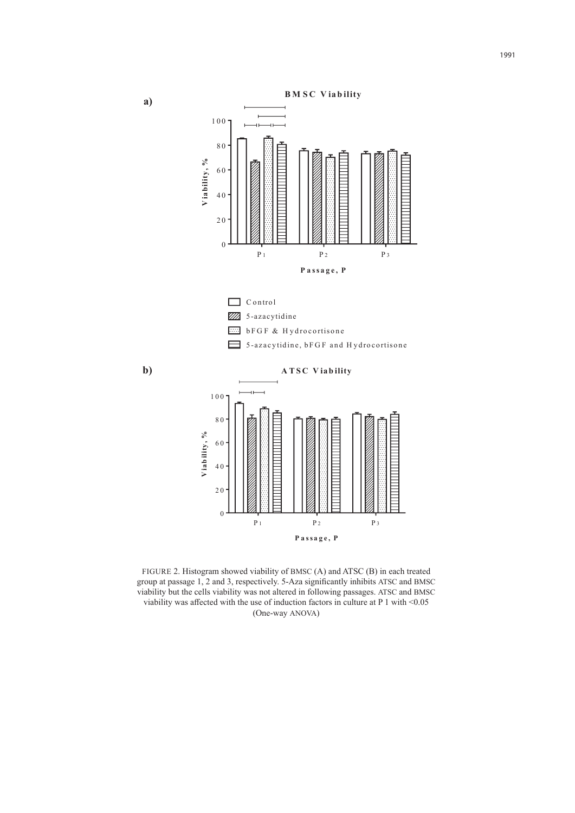



FIGURE 2. Histogram showed viability of BMSC (A) and ATSC (B) in each treated group at passage 1, 2 and 3, respectively. 5-Aza significantly inhibits ATSC and BMSC viability but the cells viability was not altered in following passages. ATSC and BMSC viability was affected with the use of induction factors in culture at  $P 1$  with  $\leq 0.05$ (One-way ANOVA)

**a)**

**b)**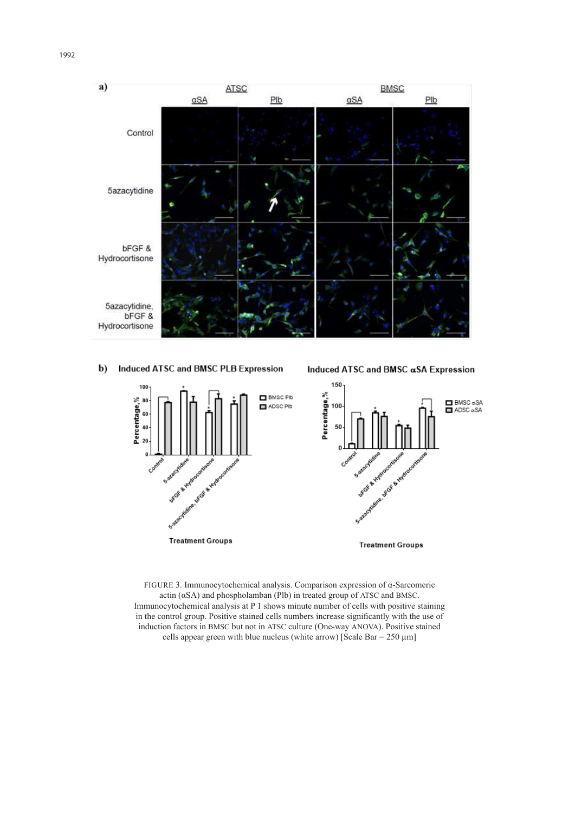



#### b) Induced ATSC and BMSC PLB Expression

Induced ATSC and BMSC &SA Expression



FIGURE 3. Immunocytochemical analysis. Comparison expression of α-Sarcomeric actin (αSA) and phospholamban (Plb) in treated group of ATSC and BMSC. Immunocytochemical analysis at P 1 shows minute number of cells with positive staining in the control group. Positive stained cells numbers increase significantly with the use of induction factors in BMSC but not in ATSC culture (One-way ANOVA). Positive stained cells appear green with blue nucleus (white arrow) [Scale Bar =  $250 \mu m$ ]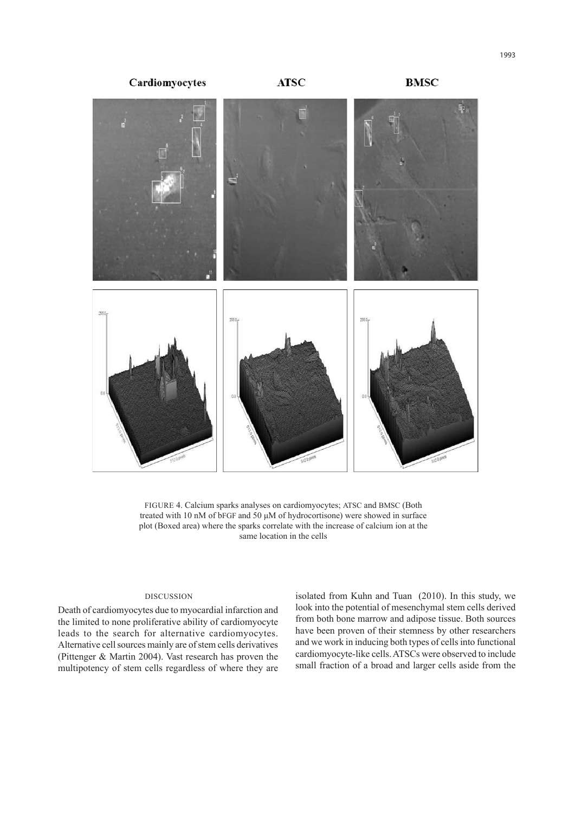

FIGURE 4. Calcium sparks analyses on cardiomyocytes; ATSC and BMSC (Both treated with 10 nM of bFGF and 50 μM of hydrocortisone) were showed in surface plot (Boxed area) where the sparks correlate with the increase of calcium ion at the same location in the cells

# DISCUSSION

Death of cardiomyocytes due to myocardial infarction and the limited to none proliferative ability of cardiomyocyte leads to the search for alternative cardiomyocytes. Alternative cell sources mainly are of stem cells derivatives (Pittenger & Martin 2004). Vast research has proven the multipotency of stem cells regardless of where they are

isolated from Kuhn and Tuan (2010). In this study, we look into the potential of mesenchymal stem cells derived from both bone marrow and adipose tissue. Both sources have been proven of their stemness by other researchers and we work in inducing both types of cells into functional cardiomyocyte-like cells. ATSCs were observed to include small fraction of a broad and larger cells aside from the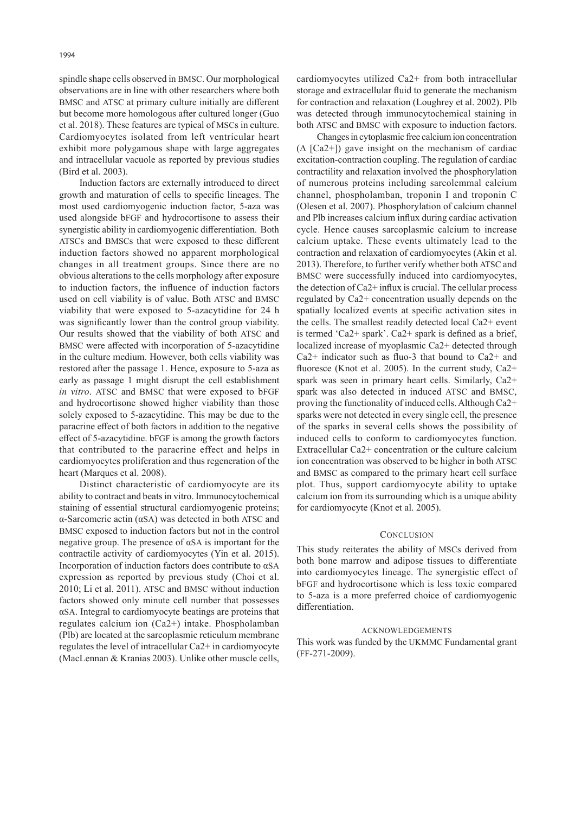spindle shape cells observed in BMSC. Our morphological observations are in line with other researchers where both BMSC and ATSC at primary culture initially are different but become more homologous after cultured longer (Guo et al. 2018). These features are typical of MSCs in culture. Cardiomyocytes isolated from left ventricular heart exhibit more polygamous shape with large aggregates and intracellular vacuole as reported by previous studies (Bird et al. 2003).

Induction factors are externally introduced to direct growth and maturation of cells to specific lineages. The most used cardiomyogenic induction factor, 5-aza was used alongside bFGF and hydrocortisone to assess their synergistic ability in cardiomyogenic differentiation. Both ATSCs and BMSCs that were exposed to these different induction factors showed no apparent morphological changes in all treatment groups. Since there are no obvious alterations to the cells morphology after exposure to induction factors, the influence of induction factors used on cell viability is of value. Both ATSC and BMSC viability that were exposed to 5-azacytidine for 24 h was significantly lower than the control group viability. Our results showed that the viability of both ATSC and BMSC were affected with incorporation of 5-azacytidine in the culture medium. However, both cells viability was restored after the passage 1. Hence, exposure to 5-aza as early as passage 1 might disrupt the cell establishment *in vitro*. ATSC and BMSC that were exposed to bFGF and hydrocortisone showed higher viability than those solely exposed to 5-azacytidine. This may be due to the paracrine effect of both factors in addition to the negative effect of 5-azacytidine. bFGF is among the growth factors that contributed to the paracrine effect and helps in cardiomyocytes proliferation and thus regeneration of the heart (Marques et al. 2008).

Distinct characteristic of cardiomyocyte are its ability to contract and beats in vitro. Immunocytochemical staining of essential structural cardiomyogenic proteins; α-Sarcomeric actin (αSA) was detected in both ATSC and BMSC exposed to induction factors but not in the control negative group. The presence of αSA is important for the contractile activity of cardiomyocytes (Yin et al. 2015). Incorporation of induction factors does contribute to αSA expression as reported by previous study (Choi et al. 2010; Li et al. 2011). ATSC and BMSC without induction factors showed only minute cell number that possesses αSA. Integral to cardiomyocyte beatings are proteins that regulates calcium ion (Ca2+) intake. Phospholamban (Plb) are located at the sarcoplasmic reticulum membrane regulates the level of intracellular Ca2+ in cardiomyocyte (MacLennan & Kranias 2003). Unlike other muscle cells,

cardiomyocytes utilized Ca2+ from both intracellular storage and extracellular fluid to generate the mechanism for contraction and relaxation (Loughrey et al. 2002). Plb was detected through immunocytochemical staining in both ATSC and BMSC with exposure to induction factors.

Changes in cytoplasmic free calcium ion concentration  $(\Delta \text{ [Ca2+]})$  gave insight on the mechanism of cardiac excitation-contraction coupling. The regulation of cardiac contractility and relaxation involved the phosphorylation of numerous proteins including sarcolemmal calcium channel, phospholamban, troponin I and troponin C (Olesen et al. 2007). Phosphorylation of calcium channel and Plb increases calcium influx during cardiac activation cycle. Hence causes sarcoplasmic calcium to increase calcium uptake. These events ultimately lead to the contraction and relaxation of cardiomyocytes (Akin et al. 2013). Therefore, to further verify whether both ATSC and BMSC were successfully induced into cardiomyocytes, the detection of Ca2+ influx is crucial. The cellular process regulated by Ca2+ concentration usually depends on the spatially localized events at specific activation sites in the cells. The smallest readily detected local Ca2+ event is termed 'Ca2+ spark'. Ca2+ spark is defined as a brief, localized increase of myoplasmic Ca2+ detected through Ca2+ indicator such as fluo-3 that bound to Ca2+ and fluoresce (Knot et al. 2005). In the current study, Ca2+ spark was seen in primary heart cells. Similarly, Ca2+ spark was also detected in induced ATSC and BMSC, proving the functionality of induced cells. Although Ca2+ sparks were not detected in every single cell, the presence of the sparks in several cells shows the possibility of induced cells to conform to cardiomyocytes function. Extracellular Ca2+ concentration or the culture calcium ion concentration was observed to be higher in both ATSC and BMSC as compared to the primary heart cell surface plot. Thus, support cardiomyocyte ability to uptake calcium ion from its surrounding which is a unique ability for cardiomyocyte (Knot et al. 2005).

# **CONCLUSION**

This study reiterates the ability of MSCs derived from both bone marrow and adipose tissues to differentiate into cardiomyocytes lineage. The synergistic effect of bFGF and hydrocortisone which is less toxic compared to 5-aza is a more preferred choice of cardiomyogenic differentiation.

#### ACKNOWLEDGEMENTS

This work was funded by the UKMMC Fundamental grant (FF-271-2009).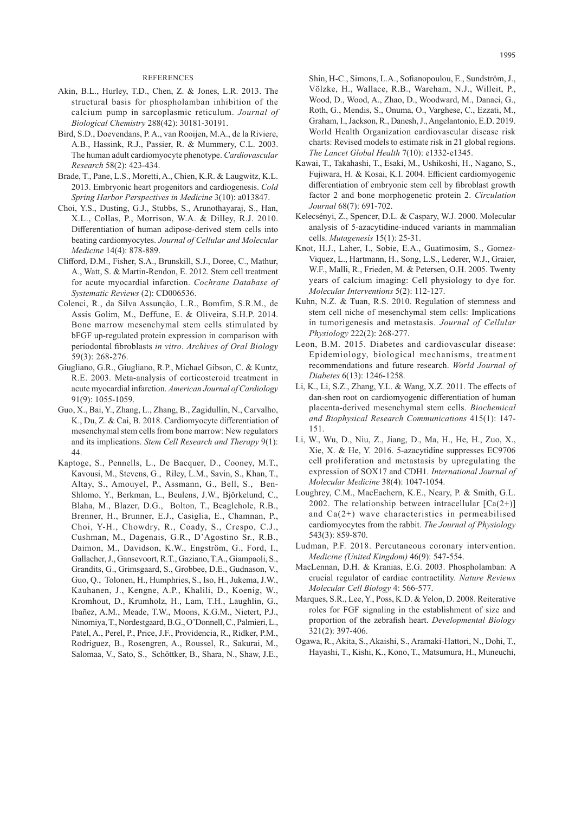#### **REFERENCES**

- Akin, B.L., Hurley, T.D., Chen, Z. & Jones, L.R. 2013. The structural basis for phospholamban inhibition of the calcium pump in sarcoplasmic reticulum. *Journal of Biological Chemistry* 288(42): 30181-30191.
- Bird, S.D., Doevendans, P. A., van Rooijen, M.A., de la Riviere, A.B., Hassink, R.J., Passier, R. & Mummery, C.L. 2003. The human adult cardiomyocyte phenotype. *Cardiovascular Research* 58(2): 423-434.
- Brade, T., Pane, L.S., Moretti, A., Chien, K.R. & Laugwitz, K.L. 2013. Embryonic heart progenitors and cardiogenesis. *Cold Spring Harbor Perspectives in Medicine* 3(10): a013847.
- Choi, Y.S., Dusting, G.J., Stubbs, S., Arunothayaraj, S., Han, X.L., Collas, P., Morrison, W.A. & Dilley, R.J. 2010. Differentiation of human adipose-derived stem cells into beating cardiomyocytes. *Journal of Cellular and Molecular Medicine* 14(4): 878-889.
- Clifford, D.M., Fisher, S.A., Brunskill, S.J., Doree, C., Mathur, A., Watt, S. & Martin-Rendon, E. 2012. Stem cell treatment for acute myocardial infarction. *Cochrane Database of Systematic Reviews* (2): CD006536.
- Colenci, R., da Silva Assunção, L.R., Bomfim, S.R.M., de Assis Golim, M., Deffune, E. & Oliveira, S.H.P. 2014. Bone marrow mesenchymal stem cells stimulated by bFGF up-regulated protein expression in comparison with periodontal fibroblasts *in vitro*. *Archives of Oral Biology* 59(3): 268-276.
- Giugliano, G.R., Giugliano, R.P., Michael Gibson, C. & Kuntz, R.E. 2003. Meta-analysis of corticosteroid treatment in acute myocardial infarction. *American Journal of Cardiology* 91(9): 1055-1059.
- Guo, X., Bai, Y., Zhang, L., Zhang, B., Zagidullin, N., Carvalho, K., Du, Z. & Cai, B. 2018. Cardiomyocyte differentiation of mesenchymal stem cells from bone marrow: New regulators and its implications. *Stem Cell Research and Therapy* 9(1): 44.
- Kaptoge, S., Pennells, L., De Bacquer, D., Cooney, M.T., Kavousi, M., Stevens, G., Riley, L.M., Savin, S., Khan, T., Altay, S., Amouyel, P., Assmann, G., Bell, S., Ben-Shlomo, Y., Berkman, L., Beulens, J.W., Björkelund, C., Blaha, M., Blazer, D.G., Bolton, T., Beaglehole, R.B., Brenner, H., Brunner, E.J., Casiglia, E., Chamnan, P., Choi, Y-H., Chowdry, R., Coady, S., Crespo, C.J., Cushman, M., Dagenais, G.R., D'Agostino Sr., R.B., Daimon, M., Davidson, K.W., Engström, G., Ford, I., Gallacher,J., Gansevoort, R.T., Gaziano, T.A., Giampaoli, S., Grandits, G., Grimsgaard, S., Grobbee, D.E., Gudnason, V., Guo, Q., Tolonen, H., Humphries, S., Iso, H., Jukema, J.W., Kauhanen, J., Kengne, A.P., Khalili, D., Koenig, W., Kromhout, D., Krumholz, H., Lam, T.H., Laughlin, G., Ibañez, A.M., Meade, T.W., Moons, K.G.M., Nietert, P.J., Ninomiya,T., Nordestgaard,B.G., O'Donnell,C., Palmieri,L., Patel, A., Perel, P., Price, J.F., Providencia, R., Ridker, P.M., Rodriguez, B., Rosengren, A., Roussel, R., Sakurai, M., Salomaa, V., Sato, S., Schöttker, B., Shara, N., Shaw, J.E.,

Shin, H-C., Simons, L.A., Sofianopoulou, E., Sundström, J., Völzke, H., Wallace, R.B., Wareham, N.J., Willeit, P., Wood, D., Wood, A., Zhao, D., Woodward, M., Danaei, G., Roth, G., Mendis, S., Onuma, O., Varghese, C., Ezzati, M., Graham, I., Jackson, R., Danesh,J., Angelantonio, E.D. 2019. World Health Organization cardiovascular disease risk charts: Revised models to estimate risk in 21 global regions. *The Lancet Global Health* 7(10): e1332-e1345.

- Kawai, T., Takahashi, T., Esaki, M., Ushikoshi, H., Nagano, S., Fujiwara, H. & Kosai, K.I. 2004. Efficient cardiomyogenic differentiation of embryonic stem cell by fibroblast growth factor 2 and bone morphogenetic protein 2. *Circulation Journal* 68(7): 691-702.
- Kelecsényi, Z., Spencer, D.L. & Caspary, W.J. 2000. Molecular analysis of 5-azacytidine-induced variants in mammalian cells. *Mutagenesis* 15(1): 25-31.
- Knot, H.J., Laher, I., Sobie, E.A., Guatimosim, S., Gomez-Viquez, L., Hartmann, H., Song, L.S., Lederer, W.J., Graier, W.F., Malli, R., Frieden, M. & Petersen, O.H. 2005. Twenty years of calcium imaging: Cell physiology to dye for. *Molecular Interventions* 5(2): 112-127.
- Kuhn, N.Z. & Tuan, R.S. 2010. Regulation of stemness and stem cell niche of mesenchymal stem cells: Implications in tumorigenesis and metastasis. *Journal of Cellular Physiology* 222(2): 268-277.
- Leon, B.M. 2015. Diabetes and cardiovascular disease: Epidemiology, biological mechanisms, treatment recommendations and future research. *World Journal of Diabetes* 6(13): 1246-1258.
- Li, K., Li, S.Z., Zhang, Y.L. & Wang, X.Z. 2011. The effects of dan-shen root on cardiomyogenic differentiation of human placenta-derived mesenchymal stem cells. *Biochemical and Biophysical Research Communications* 415(1): 147- 151.
- Li, W., Wu, D., Niu, Z., Jiang, D., Ma, H., He, H., Zuo, X., Xie, X. & He, Y. 2016. 5-azacytidine suppresses EC9706 cell proliferation and metastasis by upregulating the expression of SOX17 and CDH1. *International Journal of Molecular Medicine* 38(4): 1047-1054.
- Loughrey, C.M., MacEachern, K.E., Neary, P. & Smith, G.L. 2002. The relationship between intracellular  $[Ca(2+)]$ and  $Ca(2+)$  wave characteristics in permeabilised cardiomyocytes from the rabbit. *The Journal of Physiology* 543(3): 859-870.
- Ludman, P.F. 2018. Percutaneous coronary intervention. *Medicine (United Kingdom)* 46(9): 547-554.
- MacLennan, D.H. & Kranias, E.G. 2003. Phospholamban: A crucial regulator of cardiac contractility. *Nature Reviews Molecular Cell Biology* 4: 566-577.
- Marques, S.R., Lee, Y., Poss, K.D. & Yelon, D. 2008. Reiterative roles for FGF signaling in the establishment of size and proportion of the zebrafish heart. *Developmental Biology* 321(2): 397-406.
- Ogawa, R., Akita, S., Akaishi, S., Aramaki-Hattori, N., Dohi, T., Hayashi, T., Kishi, K., Kono, T., Matsumura, H., Muneuchi,